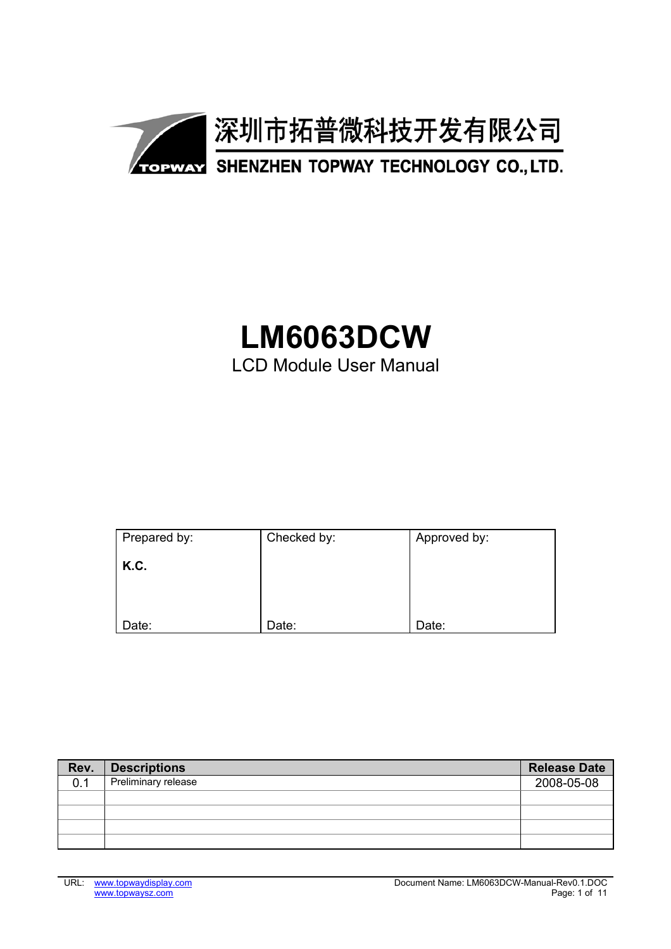

# **LM6063DCW** LCD Module User Manual

| Prepared by: | Checked by: | Approved by: |
|--------------|-------------|--------------|
| K.C.         |             |              |
|              |             |              |
|              |             |              |
| Date:        | Date:       | Date:        |

| Rev. | <b>Descriptions</b> | <b>Release Date</b> |
|------|---------------------|---------------------|
| 0.1  | Preliminary release | 2008-05-08          |
|      |                     |                     |
|      |                     |                     |
|      |                     |                     |
|      |                     |                     |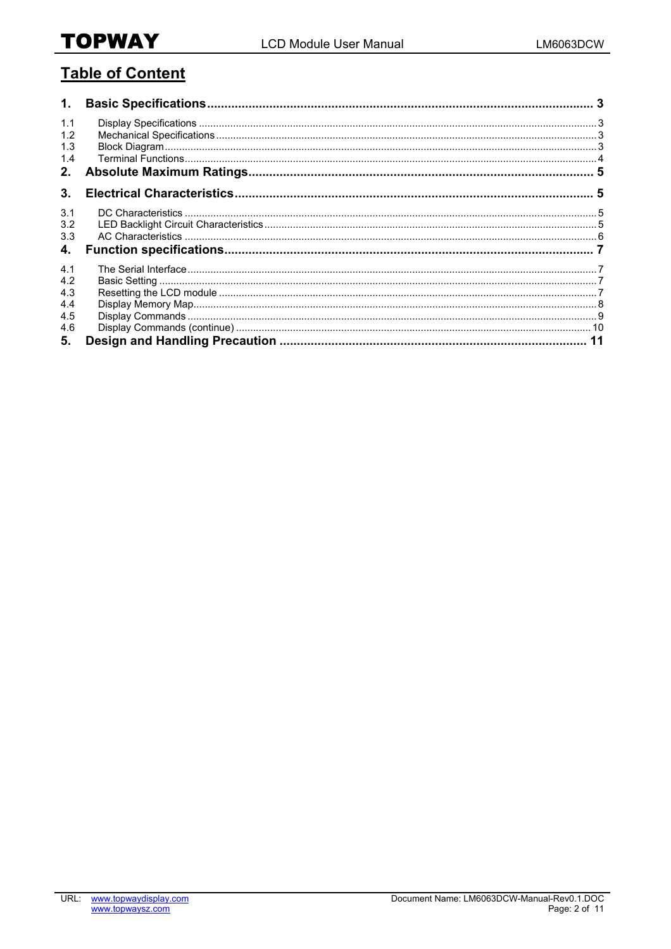## **Table of Content**

| 1.                              |  |
|---------------------------------|--|
| 1.1<br>1.2<br>1.3<br>1.4<br>2.  |  |
| 3.                              |  |
| 3.1<br>3.2<br>3.3<br>4.         |  |
| 4.1<br>4.2<br>4.3<br>4.4<br>4.5 |  |
| 4.6<br>5.                       |  |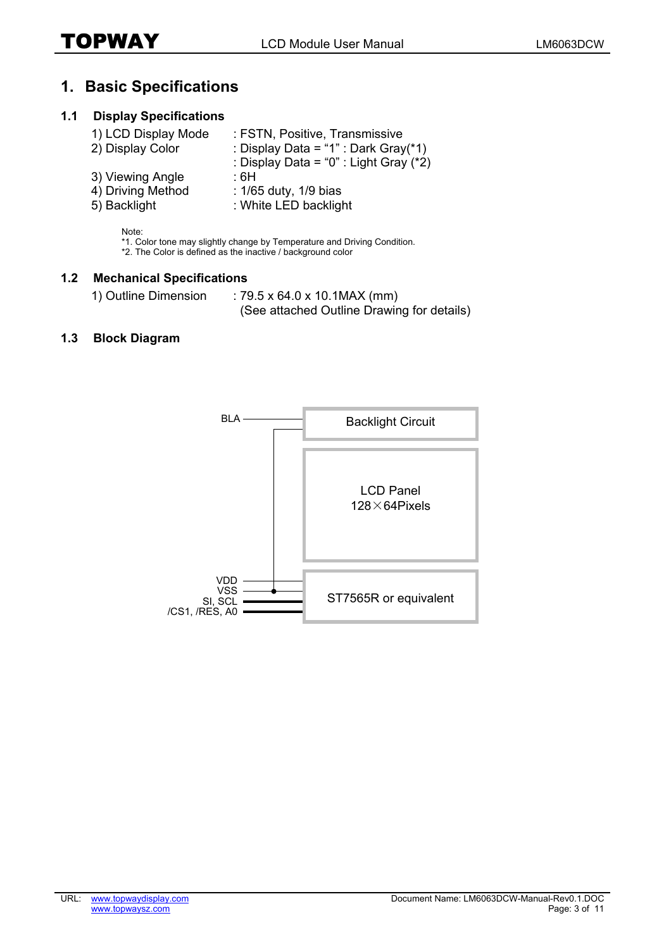## **1. Basic Specifications**

#### **1.1 Display Specifications**

| 1) LCD Display Mode | : FSTN, Positive, Transmissive         |
|---------------------|----------------------------------------|
| 2) Display Color    | : Display Data = "1" : Dark Gray(*1)   |
|                     | : Display Data = "0" : Light Gray (*2) |
| 3) Viewing Angle    | ∶6H                                    |
| 4) Driving Method   | : 1/65 duty, 1/9 bias                  |
| 5) Backlight        | : White LED backlight                  |

Note:

\*1. Color tone may slightly change by Temperature and Driving Condition.

\*2. The Color is defined as the inactive / background color

#### **1.2 Mechanical Specifications**

1) Outline Dimension : 79.5 x 64.0 x 10.1MAX (mm) (See attached Outline Drawing for details)

#### **1.3 Block Diagram**

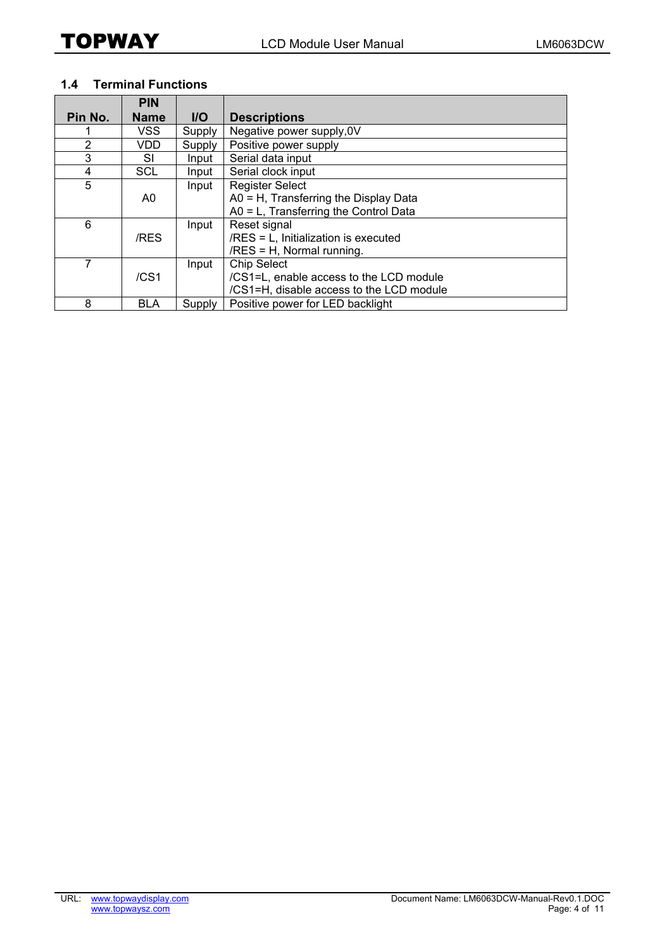#### **1.4 Terminal Functions**

|                | <b>PIN</b>       |            |                                          |
|----------------|------------------|------------|------------------------------------------|
| Pin No.        | <b>Name</b>      | <b>I/O</b> | <b>Descriptions</b>                      |
|                | VSS.             | Supply     | Negative power supply, 0V                |
| $\overline{2}$ | VDD              | Supply     | Positive power supply                    |
| 3              | SI               | Input      | Serial data input                        |
| 4              | SCL              | Input      | Serial clock input                       |
| 5              |                  | Input      | <b>Register Select</b>                   |
|                | A0               |            | A0 = H, Transferring the Display Data    |
|                |                  |            | A0 = L, Transferring the Control Data    |
| 6              |                  | Input      | Reset signal                             |
|                | /RES             |            | /RES = L, Initialization is executed     |
|                |                  |            | /RES = H, Normal running.                |
| 7              |                  | Input      | <b>Chip Select</b>                       |
|                | /CS <sub>1</sub> |            | /CS1=L, enable access to the LCD module  |
|                |                  |            | /CS1=H, disable access to the LCD module |
| 8              | <b>BLA</b>       | Supply     | Positive power for LED backlight         |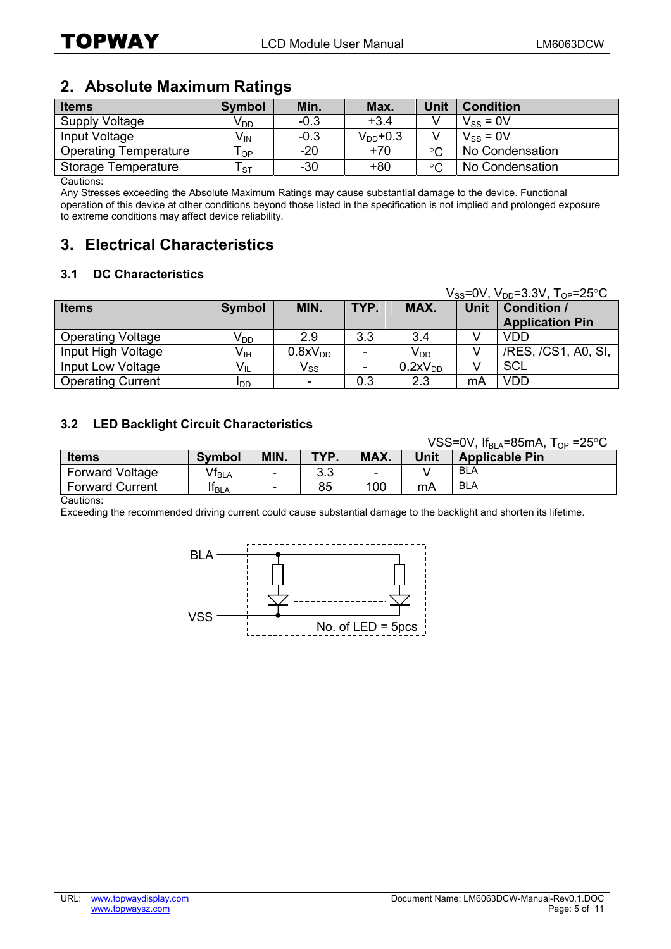## **2. Absolute Maximum Ratings**

| <b>Items</b>                 | <b>Symbol</b>   | Min.   | Max.          | Unit        | <b>Condition</b> |
|------------------------------|-----------------|--------|---------------|-------------|------------------|
| Supply Voltage               | V <sub>DD</sub> | $-0.3$ | $+3.4$        |             | $V_{SS} = 0V$    |
| Input Voltage                | $V_{\text{IN}}$ | $-0.3$ | $V_{DD}$ +0.3 |             | $V_{SS} = 0V$    |
| <b>Operating Temperature</b> | Гор             | $-20$  | $+70$         | $\circ$     | No Condensation  |
| Storage Temperature          | ST.             | $-30$  | $+80$         | $^{\circ}C$ | No Condensation  |

Cautions:

Any Stresses exceeding the Absolute Maximum Ratings may cause substantial damage to the device. Functional operation of this device at other conditions beyond those listed in the specification is not implied and prolonged exposure to extreme conditions may affect device reliability.

## **3. Electrical Characteristics**

#### **3.1 DC Characteristics**

|                          |                 |                            |      |                     |             | $V_{SS} = 0V$ , $V_{DD} = 3.3V$ , $T_{OP} = 25°C$ |
|--------------------------|-----------------|----------------------------|------|---------------------|-------------|---------------------------------------------------|
| <b>Items</b>             | <b>Symbol</b>   | MIN.                       | TYP. | MAX.                | <b>Unit</b> | <b>Condition /</b>                                |
|                          |                 |                            |      |                     |             | <b>Application Pin</b>                            |
| <b>Operating Voltage</b> | V <sub>DD</sub> | 2.9                        | 3.3  | 3.4                 |             | <b>VDD</b>                                        |
| Input High Voltage       | $V_{\text{IH}}$ | 0.8xV <sub>DD</sub>        |      | $V_{DD}$            |             | /RES, /CS1, A0, SI,                               |
| Input Low Voltage        | $V_{IL}$        | $\mathsf{V}_{\mathsf{SS}}$ |      | 0.2xV <sub>DD</sub> |             | <b>SCL</b>                                        |
| <b>Operating Current</b> | <b>I</b> DD     | ٠                          | 0.3  | 2.3                 | mA          | <b>VDD</b>                                        |

#### **3.2 LED Backlight Circuit Characteristics**

|                        |                              |      |      |                          |      | VSS=0V, $If_{BI A} = 85 \text{mA}$ , $T_{OP} = 25 \degree \text{C}$ |
|------------------------|------------------------------|------|------|--------------------------|------|---------------------------------------------------------------------|
| <b>Items</b>           | <b>Symbol</b>                | MIN. | TYP. | MAX.                     | Unit | <b>Applicable Pin</b>                                               |
| <b>Forward Voltage</b> | $\mathsf{Vf}_{\mathsf{BLA}}$ | ۰    | 3.3  | $\overline{\phantom{a}}$ |      | BLA                                                                 |
| <b>Forward Current</b> | If <sub>BLA</sub>            | -    | 85   | 100                      | mA   | <b>BLA</b>                                                          |
| $\sim$ $\sim$ $\sim$   |                              |      |      |                          |      |                                                                     |

Cautions:

Exceeding the recommended driving current could cause substantial damage to the backlight and shorten its lifetime.

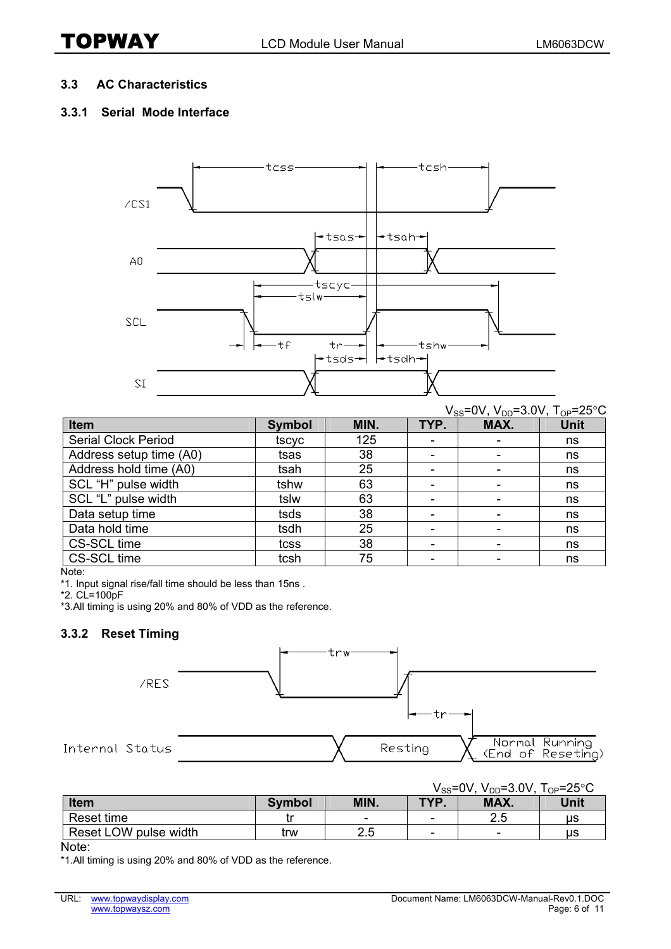#### **3.3 AC Characteristics**

#### **3.3.1 Serial Mode Interface**



|                            |               |      |                          | $V_{SS}$ =0V, $V_{DD}$ =3.0V, $T_{OP}$ =25°C |             |
|----------------------------|---------------|------|--------------------------|----------------------------------------------|-------------|
| Item                       | <b>Symbol</b> | MIN. | TYP.                     | MAX.                                         | <b>Unit</b> |
| <b>Serial Clock Period</b> | tscyc         | 125  |                          |                                              | ns          |
| Address setup time (A0)    | tsas          | 38   | ٠                        |                                              | ns          |
| Address hold time (A0)     | tsah          | 25   |                          |                                              | ns          |
| SCL "H" pulse width        | tshw          | 63   |                          |                                              | ns          |
| SCL "L" pulse width        | tslw          | 63   | $\overline{\phantom{0}}$ |                                              | ns          |
| Data setup time            | tsds          | 38   | ۰                        |                                              | ns          |
| Data hold time             | tsdh          | 25   | ٠                        |                                              | ns          |
| CS-SCL time                | tcss          | 38   |                          |                                              | ns          |
| CS-SCL time                | tcsh          | 75   |                          |                                              | ns          |

Note:

\*1. Input signal rise/fall time should be less than 15ns .

\*2. CL=100pF

\*3.All timing is using 20% and 80% of VDD as the reference.

#### **3.3.2 Reset Timing**



|                       |               |      | $\mathsf{V}_{\mathsf{SS}}$ =0V, | $V_{DD} = 3.0 V,$        | $T_{OP} = 25^{\circ}C$ |
|-----------------------|---------------|------|---------------------------------|--------------------------|------------------------|
| <b>Item</b>           | <b>Symbol</b> | MIN. | TYP.                            | MAX.                     | Unit                   |
| Reset time            | . .           | -    | -                               | っに<br>ے .                | us                     |
| Reset LOW pulse width | trw           | 2.5  | -                               | $\overline{\phantom{0}}$ | us                     |

Note:

\*1.All timing is using 20% and 80% of VDD as the reference.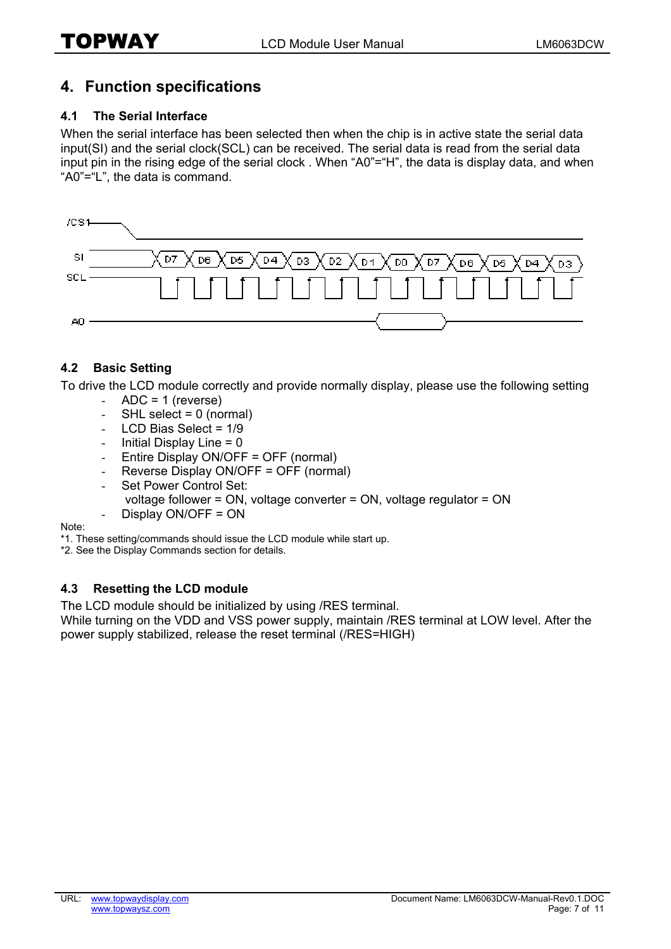## **4. Function specifications**

#### **4.1 The Serial Interface**

When the serial interface has been selected then when the chip is in active state the serial data input(SI) and the serial clock(SCL) can be received. The serial data is read from the serial data input pin in the rising edge of the serial clock . When "A0"="H", the data is display data, and when "A0"="L", the data is command.



#### **4.2 Basic Setting**

To drive the LCD module correctly and provide normally display, please use the following setting

- $ADC = 1$  (reverse)
- $-SHL$  select = 0 (normal)
- LCD Bias Select = 1/9
- Initial Display Line  $= 0$
- Entire Display ON/OFF = OFF (normal)
- Reverse Display ON/OFF = OFF (normal)
- Set Power Control Set: voltage follower = ON, voltage converter = ON, voltage regulator = ON Display ON/OFF = ON

Note:

\*1. These setting/commands should issue the LCD module while start up.

\*2. See the Display Commands section for details.

#### **4.3 Resetting the LCD module**

The LCD module should be initialized by using /RES terminal.

While turning on the VDD and VSS power supply, maintain /RES terminal at LOW level. After the power supply stabilized, release the reset terminal (/RES=HIGH)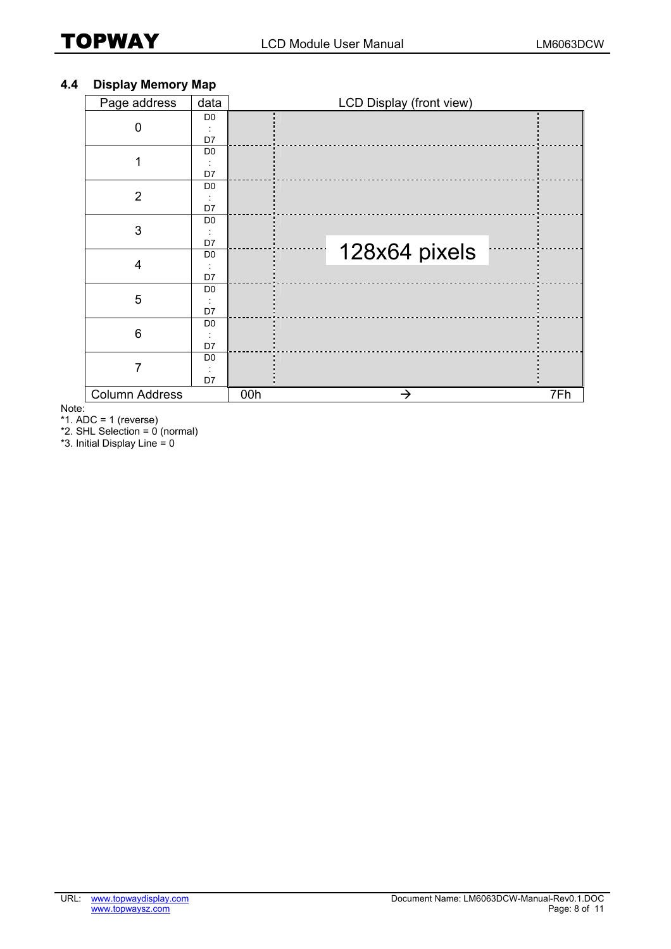#### **4.4 Display Memory Map**

| Page address            | data           |     | LCD Display (front view) |     |
|-------------------------|----------------|-----|--------------------------|-----|
|                         | D <sub>0</sub> |     |                          |     |
| $\Omega$                |                |     |                          |     |
|                         | D7             |     |                          |     |
| 1                       | D <sub>0</sub> |     |                          |     |
|                         |                |     |                          |     |
|                         | D7             |     |                          |     |
|                         | D <sub>0</sub> |     |                          |     |
| $\overline{2}$          |                |     |                          |     |
|                         | D7             |     |                          |     |
|                         | D <sub>0</sub> |     |                          |     |
| 3                       |                |     |                          |     |
|                         | D7             |     |                          |     |
|                         | D <sub>0</sub> |     | 128x64 pixels            |     |
| $\overline{\mathbf{4}}$ |                |     |                          |     |
|                         | D7             |     |                          |     |
|                         | D <sub>0</sub> |     |                          |     |
| 5                       |                |     |                          |     |
|                         | D7             |     |                          |     |
|                         | D <sub>0</sub> |     |                          |     |
| 6                       |                |     |                          |     |
|                         | D7             |     |                          |     |
|                         | D <sub>0</sub> |     |                          |     |
| 7                       |                |     |                          |     |
|                         | D7             |     |                          |     |
| <b>Column Address</b>   |                | 00h | →                        | 7Fh |

Note:

 $*1.$  ADC = 1 (reverse)

\*2. SHL Selection = 0 (normal)

\*3. Initial Display Line =  $0$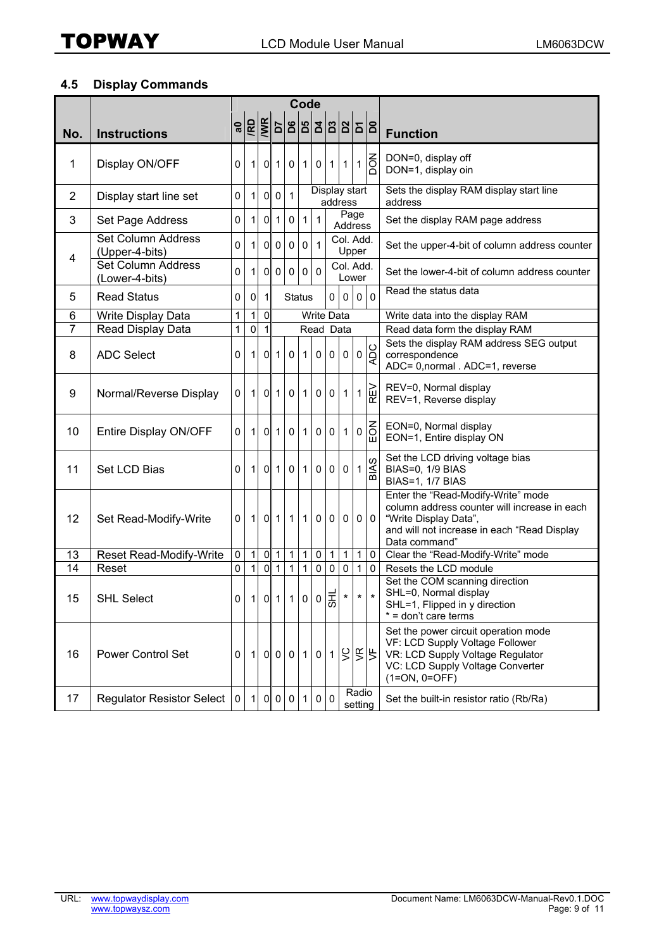#### **4.5 Display Commands**

|                |                                      | Code        |              |                |                |                                            |                |                   |              |              |                    |                         |                                                                                                                                                                             |
|----------------|--------------------------------------|-------------|--------------|----------------|----------------|--------------------------------------------|----------------|-------------------|--------------|--------------|--------------------|-------------------------|-----------------------------------------------------------------------------------------------------------------------------------------------------------------------------|
| No.            | <b>Instructions</b>                  |             |              |                |                |                                            |                |                   |              |              |                    | <u>ျော်ခြေးခြေးခြေး</u> | <b>Function</b>                                                                                                                                                             |
| 1              | Display ON/OFF                       | 0           | $\mathbf{1}$ | $\overline{0}$ | 1 <sup>1</sup> | $\mathbf 0$                                | 1.             | $\mathbf 0$       | 1            | $\mathbf{1}$ | $\mathbf 1$        | $\overline{S}$          | DON=0, display off<br>DON=1, display oin                                                                                                                                    |
| $\overline{2}$ | Display start line set               | 0           | 1            | $\overline{0}$ | $\mathbf 0$    | $\vert$ 1                                  |                | Display start     |              | address      |                    |                         | Sets the display RAM display start line<br>address                                                                                                                          |
| 3              | Set Page Address                     | 0           | $\vert$ 1    | $\overline{0}$ | 1              | $\mathsf 0$                                | $\mathbf{1}$   | $\overline{1}$    |              |              | Page<br>Address    |                         | Set the display RAM page address                                                                                                                                            |
| 4              | Set Column Address<br>(Upper-4-bits) | 0           | 1            | $\overline{0}$ | $\overline{0}$ | $\mathbf 0$                                | $\mathbf 0$    | $\overline{1}$    |              |              | Col. Add.<br>Upper |                         | Set the upper-4-bit of column address counter                                                                                                                               |
|                | Set Column Address<br>(Lower-4-bits) | 0           | 1            | $\mathsf{O}$   | $\overline{0}$ | $\mathbf 0$                                | $\mathbf 0$    | $\mathbf 0$       |              |              | Col. Add.<br>Lower |                         | Set the lower-4-bit of column address counter                                                                                                                               |
| 5              | <b>Read Status</b>                   | $\mathsf 0$ | $\mathbf 0$  | 1              |                | <b>Status</b>                              |                |                   | $\Omega$     | $\mathbf 0$  | $\overline{0}$     | $\Omega$                | Read the status data                                                                                                                                                        |
| 6              | Write Display Data                   | $\mathbf 1$ | 1            | $\overline{0}$ |                |                                            |                | <b>Write Data</b> |              |              |                    |                         | Write data into the display RAM                                                                                                                                             |
| 7              | Read Display Data                    | 1           | 0            | 1              |                |                                            |                | Read Data         |              |              |                    |                         | Read data form the display RAM                                                                                                                                              |
| 8              | <b>ADC Select</b>                    | 0           | $\mathbf 1$  | $\overline{0}$ |                | $1\vert 0$                                 | $\mathbf{1}$   | $\overline{0}$    | $\mathbf 0$  | $\pmb{0}$    |                    | $\frac{1}{2}$           | Sets the display RAM address SEG output<br>correspondence<br>ADC= 0,normal . ADC=1, reverse                                                                                 |
| 9              | Normal/Reverse Display               | 0           | $\mathbf{1}$ | $\overline{0}$ | 1 <sup>1</sup> | $\mathbf 0$                                | $\mathbf{1}$   | $\overline{0}$    | $\mathbf 0$  | 1            | 1                  | ΓŅ<br>で                 | REV=0, Normal display<br>REV=1, Reverse display                                                                                                                             |
| 10             | Entire Display ON/OFF                | $\Omega$    | 1            | οl             | 1              | $\mathbf{0}$                               | $\mathbf{1}$   | $\overline{0}$    | $\mathbf 0$  | $\mathbf 1$  | 0                  | <b>MOR</b>              | EON=0, Normal display<br>EON=1, Entire display ON                                                                                                                           |
| 11             | Set LCD Bias                         | 0           | $\mathbf{1}$ | $\overline{0}$ | 1              | $\mathbf 0$                                | $\mathbf{1}$   | $\overline{0}$    | $\mathbf 0$  | $\mathbf 0$  |                    | $\frac{1}{\sqrt{5}}$    | Set the LCD driving voltage bias<br>BIAS=0, 1/9 BIAS<br>BIAS=1, 1/7 BIAS                                                                                                    |
| 12             | Set Read-Modify-Write                | 0           | 11           |                |                | $0$ 1 1                                    | 1 <sup>1</sup> |                   | 0 0          | 0            |                    | 0 0                     | Enter the "Read-Modify-Write" mode<br>column address counter will increase in each<br>"Write Display Data",<br>and will not increase in each "Read Display<br>Data command" |
| 13             | Reset Read-Modify-Write              | $\pmb{0}$   | 1            | Ο              | $\mathbf{1}$   | $\vert$ 1                                  | $\mathbf{1}$   | $\pmb{0}$         | $\mathbf{1}$ | 1            | $\mathbf{1}$       | $\mathbf{0}$            | Clear the "Read-Modify-Write" mode                                                                                                                                          |
| 14             | Reset                                | 0           | $\mathbf{1}$ | ᠗              |                | $1\vert 1$                                 | $\mathbf{1}$   | $\mathbf 0$       | $\mathbf 0$  | $\pmb{0}$    | $\mathbf{1}$       | $\mathbf 0$             | Resets the LCD module                                                                                                                                                       |
| 15             | <b>SHL Select</b>                    | $\circ$     |              |                |                | 1 0 1 1 0 0 $\left  \frac{1}{5} \right $ * |                |                   |              |              |                    | $\star$ $\star$         | Set the COM scanning direction<br>SHL=0, Normal display<br>SHL=1, Flipped in y direction<br>* = don't care terms                                                            |
| 16             | <b>Power Control Set</b>             | 0           | 11           |                |                | 0 0 0                                      |                | 1011              |              |              |                    | $\frac{1}{2}$           | Set the power circuit operation mode<br>VF: LCD Supply Voltage Follower<br>VR: LCD Supply Voltage Regulator<br>VC: LCD Supply Voltage Converter<br>$(1=ON, 0=OFF)$          |
| 17             | <b>Regulator Resistor Select</b>     | $\mathbf 0$ | $\vert$ 1    | $\overline{0}$ | $\overline{0}$ | $\mathbf 0$                                | $\overline{1}$ | $\overline{0}$    | $\mathbf 0$  |              | Radio<br>setting   |                         | Set the built-in resistor ratio (Rb/Ra)                                                                                                                                     |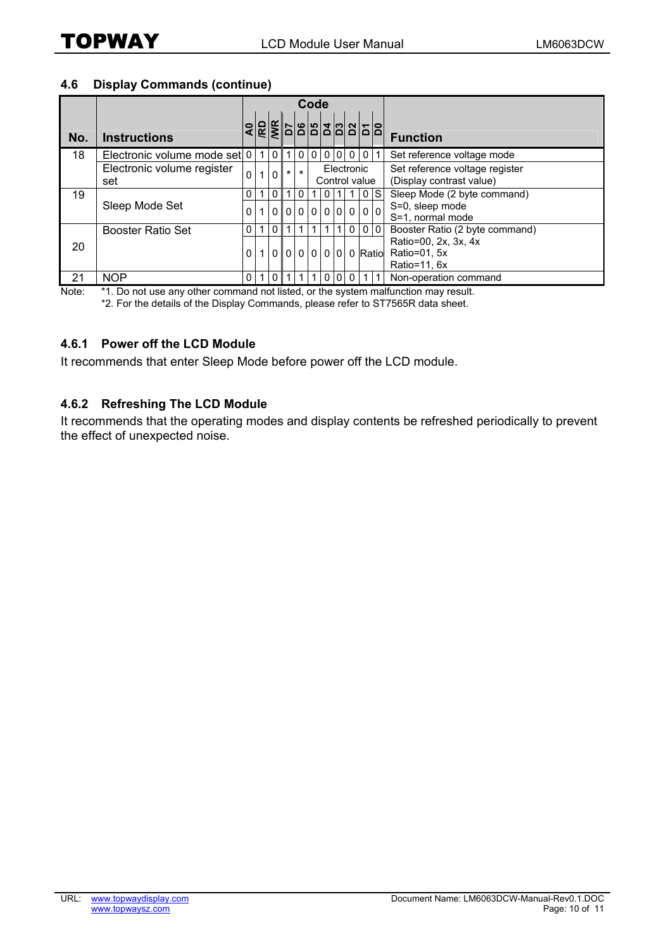#### **4.6 Display Commands (continue)**

|     |                                   | Code     |  |          |                        |                |  |                             |  |              |  |                |                                                            |
|-----|-----------------------------------|----------|--|----------|------------------------|----------------|--|-----------------------------|--|--------------|--|----------------|------------------------------------------------------------|
| No. | <b>Instructions</b>               |          |  |          |                        |                |  |                             |  |              |  |                | <b>Function</b>                                            |
| 18  | Electronic volume mode set 0      |          |  | 0        |                        | $\overline{0}$ |  |                             |  | 0 0 0 0      |  | 011            | Set reference voltage mode                                 |
|     | Electronic volume register<br>set | 0        |  | $\Omega$ | $\star$ 1              | $\star$        |  | Electronic<br>Control value |  |              |  |                | Set reference voltage register<br>(Display contrast value) |
| 19  |                                   | 0        |  | 0        |                        | 0              |  |                             |  |              |  | 0 <sup>1</sup> | Sleep Mode (2 byte command)                                |
|     | Sleep Mode Set                    | $\Omega$ |  |          | 0 0 0 0 0 0 0 0        |                |  |                             |  |              |  |                | S=0, sleep mode<br>S=1, normal mode                        |
|     | <b>Booster Ratio Set</b>          | 0        |  | $\Omega$ |                        |                |  |                             |  | $\mathbf{0}$ |  | 0 <sub>0</sub> | Booster Ratio (2 byte command)                             |
| 20  |                                   | 0        |  |          | $0 0 0 0 0 0 0 $ Ratio |                |  |                             |  |              |  |                | Ratio=00, 2x, 3x, 4x<br>Ratio=01, 5x<br>Ratio=11, 6x       |
| 21  | <b>NOP</b>                        | 0        |  |          |                        |                |  |                             |  |              |  |                | Non-operation command                                      |

Note: \*1. Do not use any other command not listed, or the system malfunction may result.

\*2. For the details of the Display Commands, please refer to ST7565R data sheet.

#### **4.6.1 Power off the LCD Module**

It recommends that enter Sleep Mode before power off the LCD module.

#### **4.6.2 Refreshing The LCD Module**

It recommends that the operating modes and display contents be refreshed periodically to prevent the effect of unexpected noise.